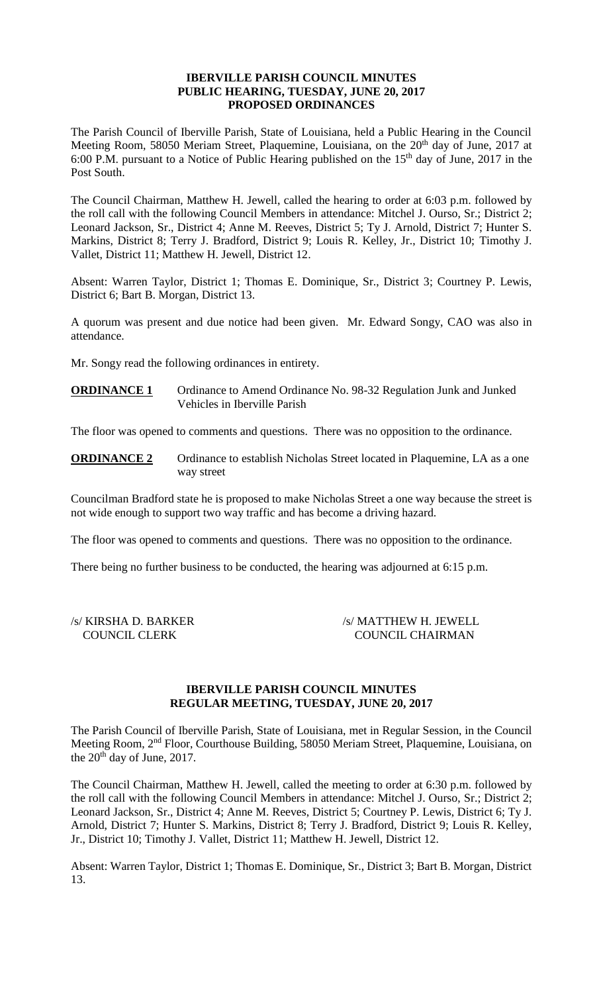## **IBERVILLE PARISH COUNCIL MINUTES PUBLIC HEARING, TUESDAY, JUNE 20, 2017 PROPOSED ORDINANCES**

The Parish Council of Iberville Parish, State of Louisiana, held a Public Hearing in the Council Meeting Room, 58050 Meriam Street, Plaquemine, Louisiana, on the 20<sup>th</sup> day of June, 2017 at 6:00 P.M. pursuant to a Notice of Public Hearing published on the  $15<sup>th</sup>$  day of June, 2017 in the Post South.

The Council Chairman, Matthew H. Jewell, called the hearing to order at 6:03 p.m. followed by the roll call with the following Council Members in attendance: Mitchel J. Ourso, Sr.; District 2; Leonard Jackson, Sr., District 4; Anne M. Reeves, District 5; Ty J. Arnold, District 7; Hunter S. Markins, District 8; Terry J. Bradford, District 9; Louis R. Kelley, Jr., District 10; Timothy J. Vallet, District 11; Matthew H. Jewell, District 12.

Absent: Warren Taylor, District 1; Thomas E. Dominique, Sr., District 3; Courtney P. Lewis, District 6; Bart B. Morgan, District 13.

A quorum was present and due notice had been given. Mr. Edward Songy, CAO was also in attendance.

Mr. Songy read the following ordinances in entirety.

**ORDINANCE 1** Ordinance to Amend Ordinance No. 98-32 Regulation Junk and Junked Vehicles in Iberville Parish

The floor was opened to comments and questions. There was no opposition to the ordinance.

**ORDINANCE 2** Ordinance to establish Nicholas Street located in Plaquemine, LA as a one way street

Councilman Bradford state he is proposed to make Nicholas Street a one way because the street is not wide enough to support two way traffic and has become a driving hazard.

The floor was opened to comments and questions. There was no opposition to the ordinance.

There being no further business to be conducted, the hearing was adjourned at 6:15 p.m.

| /s/ KIRSHA D. BARKER |
|----------------------|
| <b>COUNCIL CLERK</b> |

/s/ MATTHEW H. JEWELL COUNCIL CHAIRMAN

## **IBERVILLE PARISH COUNCIL MINUTES REGULAR MEETING, TUESDAY, JUNE 20, 2017**

The Parish Council of Iberville Parish, State of Louisiana, met in Regular Session, in the Council Meeting Room, 2nd Floor, Courthouse Building, 58050 Meriam Street, Plaquemine, Louisiana, on the  $20<sup>th</sup>$  day of June, 2017.

The Council Chairman, Matthew H. Jewell, called the meeting to order at 6:30 p.m. followed by the roll call with the following Council Members in attendance: Mitchel J. Ourso, Sr.; District 2; Leonard Jackson, Sr., District 4; Anne M. Reeves, District 5; Courtney P. Lewis, District 6; Ty J. Arnold, District 7; Hunter S. Markins, District 8; Terry J. Bradford, District 9; Louis R. Kelley, Jr., District 10; Timothy J. Vallet, District 11; Matthew H. Jewell, District 12.

Absent: Warren Taylor, District 1; Thomas E. Dominique, Sr., District 3; Bart B. Morgan, District 13.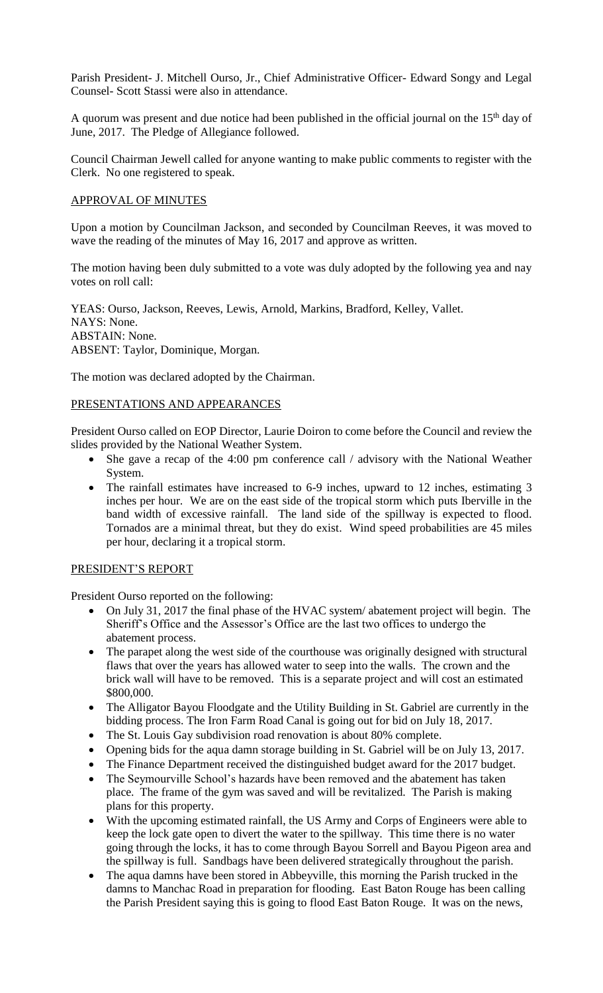Parish President- J. Mitchell Ourso, Jr., Chief Administrative Officer- Edward Songy and Legal Counsel- Scott Stassi were also in attendance.

A quorum was present and due notice had been published in the official journal on the  $15<sup>th</sup>$  day of June, 2017. The Pledge of Allegiance followed.

Council Chairman Jewell called for anyone wanting to make public comments to register with the Clerk. No one registered to speak.

## APPROVAL OF MINUTES

Upon a motion by Councilman Jackson, and seconded by Councilman Reeves, it was moved to wave the reading of the minutes of May 16, 2017 and approve as written.

The motion having been duly submitted to a vote was duly adopted by the following yea and nay votes on roll call:

YEAS: Ourso, Jackson, Reeves, Lewis, Arnold, Markins, Bradford, Kelley, Vallet. NAYS: None. ABSTAIN: None. ABSENT: Taylor, Dominique, Morgan.

The motion was declared adopted by the Chairman.

## PRESENTATIONS AND APPEARANCES

President Ourso called on EOP Director, Laurie Doiron to come before the Council and review the slides provided by the National Weather System.

- She gave a recap of the 4:00 pm conference call / advisory with the National Weather System.
- The rainfall estimates have increased to 6-9 inches, upward to 12 inches, estimating 3 inches per hour. We are on the east side of the tropical storm which puts Iberville in the band width of excessive rainfall. The land side of the spillway is expected to flood. Tornados are a minimal threat, but they do exist. Wind speed probabilities are 45 miles per hour, declaring it a tropical storm.

## PRESIDENT'S REPORT

President Ourso reported on the following:

- On July 31, 2017 the final phase of the HVAC system/ abatement project will begin. The Sheriff's Office and the Assessor's Office are the last two offices to undergo the abatement process.
- The parapet along the west side of the courthouse was originally designed with structural flaws that over the years has allowed water to seep into the walls. The crown and the brick wall will have to be removed. This is a separate project and will cost an estimated \$800,000.
- The Alligator Bayou Floodgate and the Utility Building in St. Gabriel are currently in the bidding process. The Iron Farm Road Canal is going out for bid on July 18, 2017.
- The St. Louis Gay subdivision road renovation is about 80% complete.
- Opening bids for the aqua damn storage building in St. Gabriel will be on July 13, 2017.
- The Finance Department received the distinguished budget award for the 2017 budget.
- The Seymourville School's hazards have been removed and the abatement has taken place. The frame of the gym was saved and will be revitalized. The Parish is making plans for this property.
- With the upcoming estimated rainfall, the US Army and Corps of Engineers were able to keep the lock gate open to divert the water to the spillway. This time there is no water going through the locks, it has to come through Bayou Sorrell and Bayou Pigeon area and the spillway is full. Sandbags have been delivered strategically throughout the parish.
- The aqua damns have been stored in Abbeyville, this morning the Parish trucked in the damns to Manchac Road in preparation for flooding. East Baton Rouge has been calling the Parish President saying this is going to flood East Baton Rouge. It was on the news,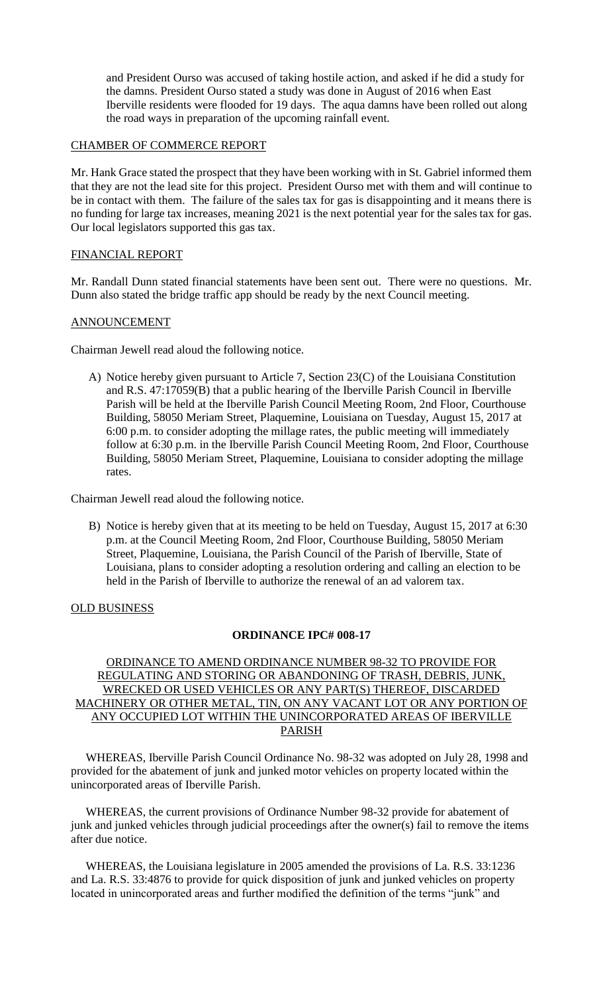and President Ourso was accused of taking hostile action, and asked if he did a study for the damns. President Ourso stated a study was done in August of 2016 when East Iberville residents were flooded for 19 days. The aqua damns have been rolled out along the road ways in preparation of the upcoming rainfall event.

## CHAMBER OF COMMERCE REPORT

Mr. Hank Grace stated the prospect that they have been working with in St. Gabriel informed them that they are not the lead site for this project. President Ourso met with them and will continue to be in contact with them. The failure of the sales tax for gas is disappointing and it means there is no funding for large tax increases, meaning 2021 is the next potential year for the sales tax for gas. Our local legislators supported this gas tax.

### FINANCIAL REPORT

Mr. Randall Dunn stated financial statements have been sent out. There were no questions. Mr. Dunn also stated the bridge traffic app should be ready by the next Council meeting.

### ANNOUNCEMENT

Chairman Jewell read aloud the following notice.

A) Notice hereby given pursuant to Article 7, Section 23(C) of the Louisiana Constitution and R.S. 47:17059(B) that a public hearing of the Iberville Parish Council in Iberville Parish will be held at the Iberville Parish Council Meeting Room, 2nd Floor, Courthouse Building, 58050 Meriam Street, Plaquemine, Louisiana on Tuesday, August 15, 2017 at 6:00 p.m. to consider adopting the millage rates, the public meeting will immediately follow at 6:30 p.m. in the Iberville Parish Council Meeting Room, 2nd Floor, Courthouse Building, 58050 Meriam Street, Plaquemine, Louisiana to consider adopting the millage rates.

Chairman Jewell read aloud the following notice.

B) Notice is hereby given that at its meeting to be held on Tuesday, August 15, 2017 at 6:30 p.m. at the Council Meeting Room, 2nd Floor, Courthouse Building, 58050 Meriam Street, Plaquemine, Louisiana, the Parish Council of the Parish of Iberville, State of Louisiana, plans to consider adopting a resolution ordering and calling an election to be held in the Parish of Iberville to authorize the renewal of an ad valorem tax.

## OLD BUSINESS

#### **ORDINANCE IPC# 008-17**

## ORDINANCE TO AMEND ORDINANCE NUMBER 98-32 TO PROVIDE FOR REGULATING AND STORING OR ABANDONING OF TRASH, DEBRIS, JUNK, WRECKED OR USED VEHICLES OR ANY PART(S) THEREOF, DISCARDED MACHINERY OR OTHER METAL, TIN, ON ANY VACANT LOT OR ANY PORTION OF ANY OCCUPIED LOT WITHIN THE UNINCORPORATED AREAS OF IBERVILLE PARISH

 WHEREAS, Iberville Parish Council Ordinance No. 98-32 was adopted on July 28, 1998 and provided for the abatement of junk and junked motor vehicles on property located within the unincorporated areas of Iberville Parish.

 WHEREAS, the current provisions of Ordinance Number 98-32 provide for abatement of junk and junked vehicles through judicial proceedings after the owner(s) fail to remove the items after due notice.

 WHEREAS, the Louisiana legislature in 2005 amended the provisions of La. R.S. 33:1236 and La. R.S. 33:4876 to provide for quick disposition of junk and junked vehicles on property located in unincorporated areas and further modified the definition of the terms "junk" and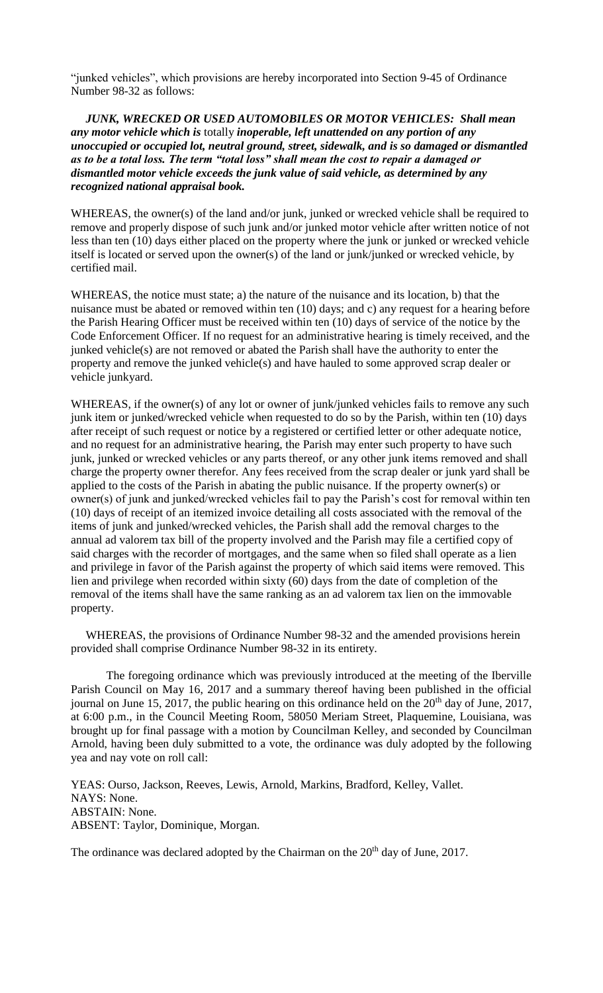"junked vehicles", which provisions are hereby incorporated into Section 9-45 of Ordinance Number 98-32 as follows:

 *JUNK, WRECKED OR USED AUTOMOBILES OR MOTOR VEHICLES: Shall mean any motor vehicle which is* totally *inoperable, left unattended on any portion of any unoccupied or occupied lot, neutral ground, street, sidewalk, and is so damaged or dismantled as to be a total loss. The term "total loss" shall mean the cost to repair a damaged or dismantled motor vehicle exceeds the junk value of said vehicle, as determined by any recognized national appraisal book.* 

WHEREAS, the owner(s) of the land and/or junk, junked or wrecked vehicle shall be required to remove and properly dispose of such junk and/or junked motor vehicle after written notice of not less than ten (10) days either placed on the property where the junk or junked or wrecked vehicle itself is located or served upon the owner(s) of the land or junk/junked or wrecked vehicle, by certified mail.

WHEREAS, the notice must state; a) the nature of the nuisance and its location, b) that the nuisance must be abated or removed within ten (10) days; and c) any request for a hearing before the Parish Hearing Officer must be received within ten (10) days of service of the notice by the Code Enforcement Officer. If no request for an administrative hearing is timely received, and the junked vehicle(s) are not removed or abated the Parish shall have the authority to enter the property and remove the junked vehicle(s) and have hauled to some approved scrap dealer or vehicle junkyard.

WHEREAS, if the owner(s) of any lot or owner of junk/junked vehicles fails to remove any such junk item or junked/wrecked vehicle when requested to do so by the Parish, within ten (10) days after receipt of such request or notice by a registered or certified letter or other adequate notice, and no request for an administrative hearing, the Parish may enter such property to have such junk, junked or wrecked vehicles or any parts thereof, or any other junk items removed and shall charge the property owner therefor. Any fees received from the scrap dealer or junk yard shall be applied to the costs of the Parish in abating the public nuisance. If the property owner(s) or owner(s) of junk and junked/wrecked vehicles fail to pay the Parish's cost for removal within ten (10) days of receipt of an itemized invoice detailing all costs associated with the removal of the items of junk and junked/wrecked vehicles, the Parish shall add the removal charges to the annual ad valorem tax bill of the property involved and the Parish may file a certified copy of said charges with the recorder of mortgages, and the same when so filed shall operate as a lien and privilege in favor of the Parish against the property of which said items were removed. This lien and privilege when recorded within sixty (60) days from the date of completion of the removal of the items shall have the same ranking as an ad valorem tax lien on the immovable property.

 WHEREAS, the provisions of Ordinance Number 98-32 and the amended provisions herein provided shall comprise Ordinance Number 98-32 in its entirety.

The foregoing ordinance which was previously introduced at the meeting of the Iberville Parish Council on May 16, 2017 and a summary thereof having been published in the official journal on June 15, 2017, the public hearing on this ordinance held on the  $20<sup>th</sup>$  day of June, 2017, at 6:00 p.m., in the Council Meeting Room, 58050 Meriam Street, Plaquemine, Louisiana, was brought up for final passage with a motion by Councilman Kelley, and seconded by Councilman Arnold, having been duly submitted to a vote, the ordinance was duly adopted by the following yea and nay vote on roll call:

YEAS: Ourso, Jackson, Reeves, Lewis, Arnold, Markins, Bradford, Kelley, Vallet. NAYS: None. ABSTAIN: None. ABSENT: Taylor, Dominique, Morgan.

The ordinance was declared adopted by the Chairman on the 20<sup>th</sup> day of June, 2017.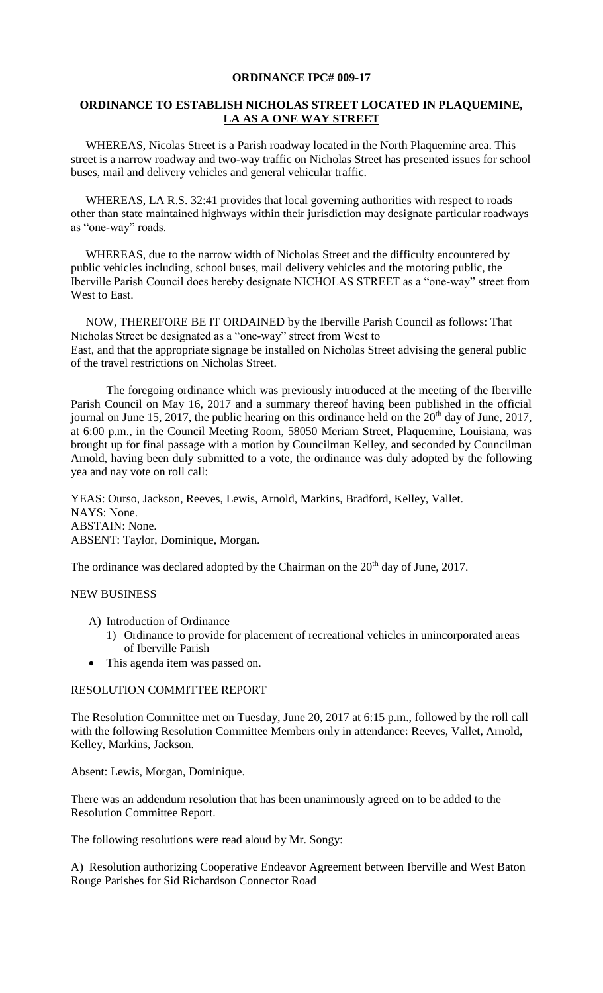## **ORDINANCE IPC# 009-17**

## **ORDINANCE TO ESTABLISH NICHOLAS STREET LOCATED IN PLAQUEMINE, LA AS A ONE WAY STREET**

 WHEREAS, Nicolas Street is a Parish roadway located in the North Plaquemine area. This street is a narrow roadway and two-way traffic on Nicholas Street has presented issues for school buses, mail and delivery vehicles and general vehicular traffic.

 WHEREAS, LA R.S. 32:41 provides that local governing authorities with respect to roads other than state maintained highways within their jurisdiction may designate particular roadways as "one-way" roads.

 WHEREAS, due to the narrow width of Nicholas Street and the difficulty encountered by public vehicles including, school buses, mail delivery vehicles and the motoring public, the Iberville Parish Council does hereby designate NICHOLAS STREET as a "one-way" street from West to East.

 NOW, THEREFORE BE IT ORDAINED by the Iberville Parish Council as follows: That Nicholas Street be designated as a "one-way" street from West to East, and that the appropriate signage be installed on Nicholas Street advising the general public of the travel restrictions on Nicholas Street.

The foregoing ordinance which was previously introduced at the meeting of the Iberville Parish Council on May 16, 2017 and a summary thereof having been published in the official journal on June 15, 2017, the public hearing on this ordinance held on the  $20<sup>th</sup>$  day of June, 2017, at 6:00 p.m., in the Council Meeting Room, 58050 Meriam Street, Plaquemine, Louisiana, was brought up for final passage with a motion by Councilman Kelley, and seconded by Councilman Arnold, having been duly submitted to a vote, the ordinance was duly adopted by the following yea and nay vote on roll call:

YEAS: Ourso, Jackson, Reeves, Lewis, Arnold, Markins, Bradford, Kelley, Vallet. NAYS: None. ABSTAIN: None. ABSENT: Taylor, Dominique, Morgan.

The ordinance was declared adopted by the Chairman on the 20<sup>th</sup> day of June, 2017.

#### NEW BUSINESS

A) Introduction of Ordinance

- 1) Ordinance to provide for placement of recreational vehicles in unincorporated areas of Iberville Parish
- This agenda item was passed on.

#### RESOLUTION COMMITTEE REPORT

The Resolution Committee met on Tuesday, June 20, 2017 at 6:15 p.m., followed by the roll call with the following Resolution Committee Members only in attendance: Reeves, Vallet, Arnold, Kelley, Markins, Jackson.

Absent: Lewis, Morgan, Dominique.

There was an addendum resolution that has been unanimously agreed on to be added to the Resolution Committee Report.

The following resolutions were read aloud by Mr. Songy:

A) Resolution authorizing Cooperative Endeavor Agreement between Iberville and West Baton Rouge Parishes for Sid Richardson Connector Road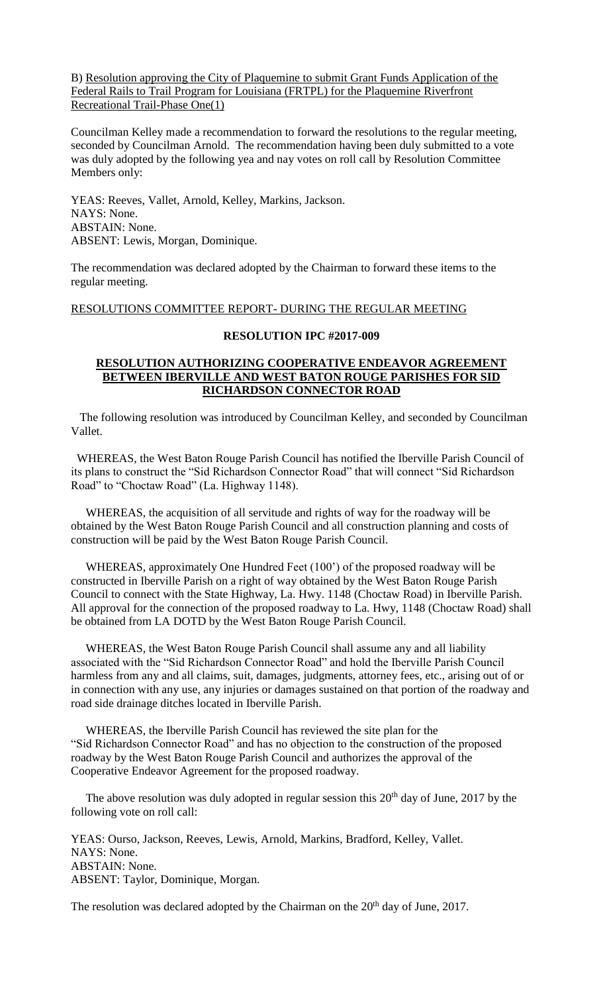## B) Resolution approving the City of Plaquemine to submit Grant Funds Application of the Federal Rails to Trail Program for Louisiana (FRTPL) for the Plaquemine Riverfront Recreational Trail-Phase One(1)

Councilman Kelley made a recommendation to forward the resolutions to the regular meeting, seconded by Councilman Arnold. The recommendation having been duly submitted to a vote was duly adopted by the following yea and nay votes on roll call by Resolution Committee Members only:

YEAS: Reeves, Vallet, Arnold, Kelley, Markins, Jackson. NAYS: None. ABSTAIN: None. ABSENT: Lewis, Morgan, Dominique.

The recommendation was declared adopted by the Chairman to forward these items to the regular meeting.

## RESOLUTIONS COMMITTEE REPORT- DURING THE REGULAR MEETING

# **RESOLUTION IPC #2017-009**

## **RESOLUTION AUTHORIZING COOPERATIVE ENDEAVOR AGREEMENT BETWEEN IBERVILLE AND WEST BATON ROUGE PARISHES FOR SID RICHARDSON CONNECTOR ROAD**

 The following resolution was introduced by Councilman Kelley, and seconded by Councilman Vallet.

 WHEREAS, the West Baton Rouge Parish Council has notified the Iberville Parish Council of its plans to construct the "Sid Richardson Connector Road" that will connect "Sid Richardson Road" to "Choctaw Road" (La. Highway 1148).

 WHEREAS, the acquisition of all servitude and rights of way for the roadway will be obtained by the West Baton Rouge Parish Council and all construction planning and costs of construction will be paid by the West Baton Rouge Parish Council.

 WHEREAS, approximately One Hundred Feet (100') of the proposed roadway will be constructed in Iberville Parish on a right of way obtained by the West Baton Rouge Parish Council to connect with the State Highway, La. Hwy. 1148 (Choctaw Road) in Iberville Parish. All approval for the connection of the proposed roadway to La. Hwy, 1148 (Choctaw Road) shall be obtained from LA DOTD by the West Baton Rouge Parish Council.

 WHEREAS, the West Baton Rouge Parish Council shall assume any and all liability associated with the "Sid Richardson Connector Road" and hold the Iberville Parish Council harmless from any and all claims, suit, damages, judgments, attorney fees, etc., arising out of or in connection with any use, any injuries or damages sustained on that portion of the roadway and road side drainage ditches located in Iberville Parish.

 WHEREAS, the Iberville Parish Council has reviewed the site plan for the "Sid Richardson Connector Road" and has no objection to the construction of the proposed roadway by the West Baton Rouge Parish Council and authorizes the approval of the Cooperative Endeavor Agreement for the proposed roadway.

The above resolution was duly adopted in regular session this  $20<sup>th</sup>$  day of June, 2017 by the following vote on roll call:

YEAS: Ourso, Jackson, Reeves, Lewis, Arnold, Markins, Bradford, Kelley, Vallet. NAYS: None. ABSTAIN: None. ABSENT: Taylor, Dominique, Morgan.

The resolution was declared adopted by the Chairman on the  $20<sup>th</sup>$  day of June, 2017.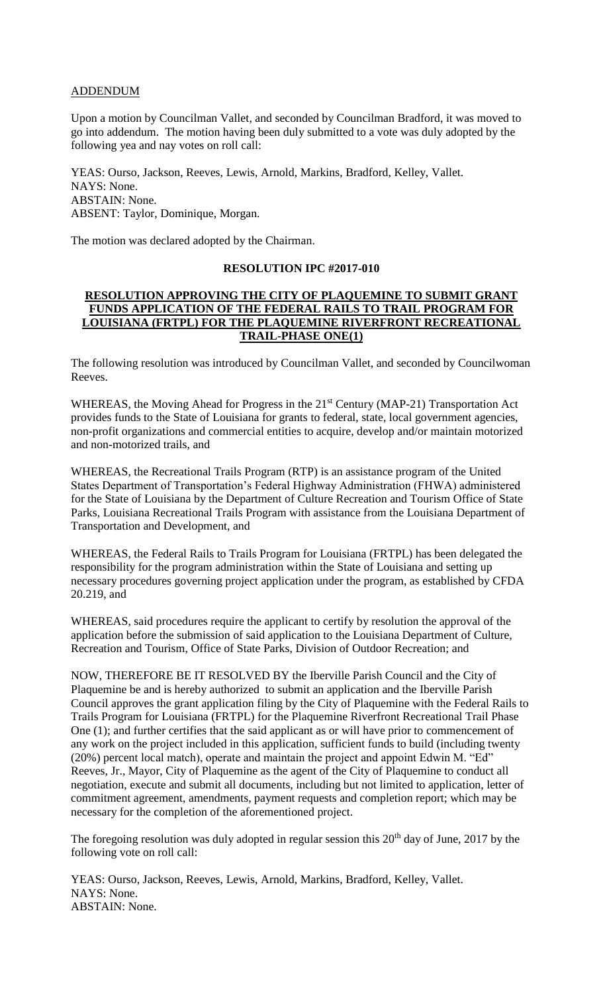## ADDENDUM

Upon a motion by Councilman Vallet, and seconded by Councilman Bradford, it was moved to go into addendum. The motion having been duly submitted to a vote was duly adopted by the following yea and nay votes on roll call:

YEAS: Ourso, Jackson, Reeves, Lewis, Arnold, Markins, Bradford, Kelley, Vallet. NAYS: None. ABSTAIN: None. ABSENT: Taylor, Dominique, Morgan.

The motion was declared adopted by the Chairman.

#### **RESOLUTION IPC #2017-010**

## **RESOLUTION APPROVING THE CITY OF PLAQUEMINE TO SUBMIT GRANT FUNDS APPLICATION OF THE FEDERAL RAILS TO TRAIL PROGRAM FOR LOUISIANA (FRTPL) FOR THE PLAQUEMINE RIVERFRONT RECREATIONAL TRAIL-PHASE ONE(1)**

The following resolution was introduced by Councilman Vallet, and seconded by Councilwoman Reeves.

WHEREAS, the Moving Ahead for Progress in the 21<sup>st</sup> Century (MAP-21) Transportation Act provides funds to the State of Louisiana for grants to federal, state, local government agencies, non-profit organizations and commercial entities to acquire, develop and/or maintain motorized and non-motorized trails, and

WHEREAS, the Recreational Trails Program (RTP) is an assistance program of the United States Department of Transportation's Federal Highway Administration (FHWA) administered for the State of Louisiana by the Department of Culture Recreation and Tourism Office of State Parks, Louisiana Recreational Trails Program with assistance from the Louisiana Department of Transportation and Development, and

WHEREAS, the Federal Rails to Trails Program for Louisiana (FRTPL) has been delegated the responsibility for the program administration within the State of Louisiana and setting up necessary procedures governing project application under the program, as established by CFDA 20.219, and

WHEREAS, said procedures require the applicant to certify by resolution the approval of the application before the submission of said application to the Louisiana Department of Culture, Recreation and Tourism, Office of State Parks, Division of Outdoor Recreation; and

NOW, THEREFORE BE IT RESOLVED BY the Iberville Parish Council and the City of Plaquemine be and is hereby authorized to submit an application and the Iberville Parish Council approves the grant application filing by the City of Plaquemine with the Federal Rails to Trails Program for Louisiana (FRTPL) for the Plaquemine Riverfront Recreational Trail Phase One (1); and further certifies that the said applicant as or will have prior to commencement of any work on the project included in this application, sufficient funds to build (including twenty (20%) percent local match), operate and maintain the project and appoint Edwin M. "Ed" Reeves, Jr., Mayor, City of Plaquemine as the agent of the City of Plaquemine to conduct all negotiation, execute and submit all documents, including but not limited to application, letter of commitment agreement, amendments, payment requests and completion report; which may be necessary for the completion of the aforementioned project.

The foregoing resolution was duly adopted in regular session this  $20<sup>th</sup>$  day of June, 2017 by the following vote on roll call:

YEAS: Ourso, Jackson, Reeves, Lewis, Arnold, Markins, Bradford, Kelley, Vallet. NAYS: None. ABSTAIN: None.